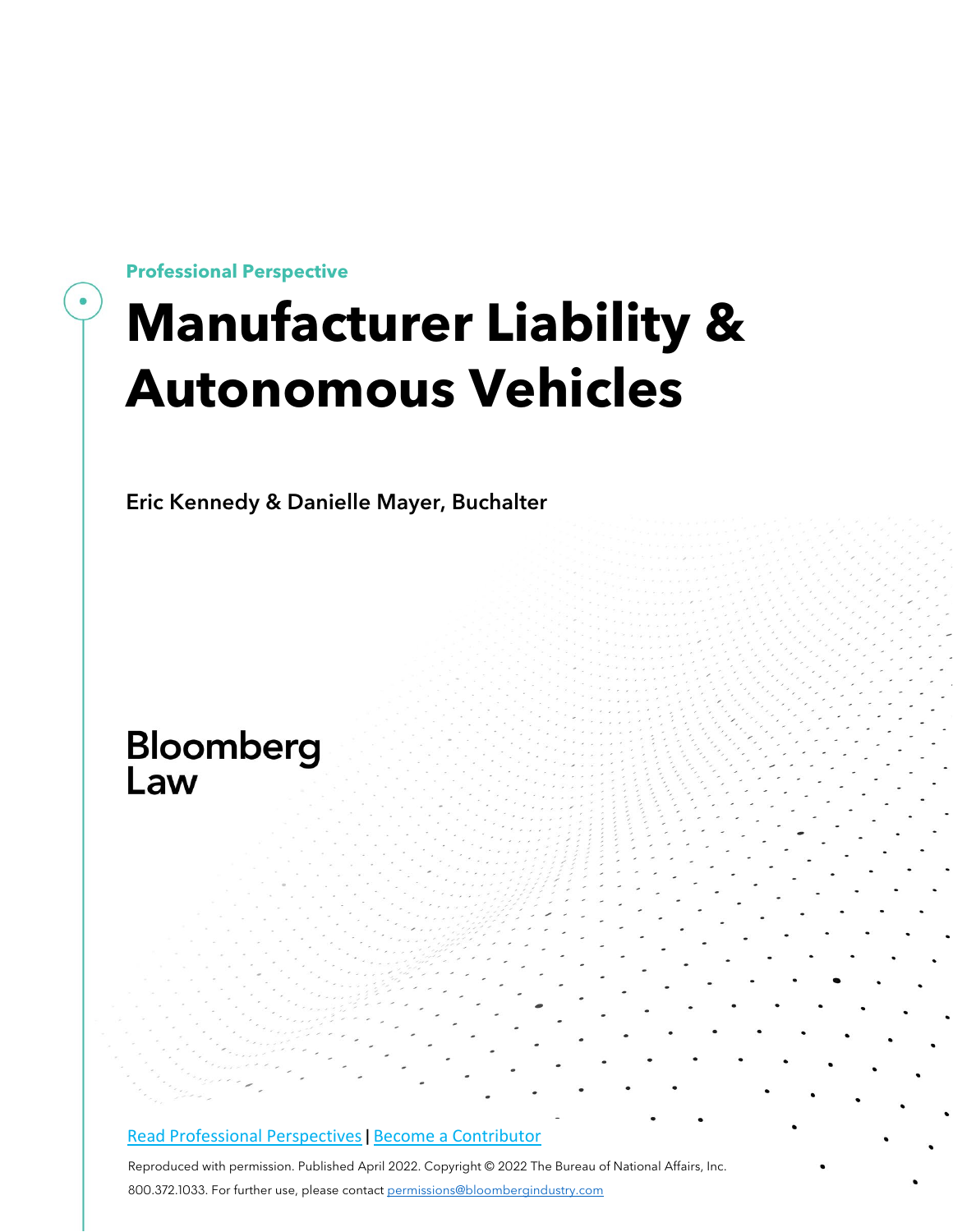**Professional Perspective**

## **Manufacturer Liability & Autonomous Vehicles**

Eric Kennedy & Danielle Mayer, Buchalter

# **Bloomberg**<br>Law

#### Read Professional [Perspectives](https://www.bloomberglaw.com/product/blaw/search/results/fce5c55b80fd6db95984633eb48fa7d5?utm_source=ACQ&utm_medium=PRP) | [B](https://www.bloomberglaw.com/product/blaw/search/results/fce5c55b80fd6db95984633eb48fa7d5?utm_source=ACQ&utm_medium=PRP)ecome a [Contributor](https://pro.bloomberglaw.com/become-a-contributor/?utm_source=ACQ&utm_medium=PRP)

Reproduced with permission. Published April 2022. Copyright © 2022 The Bureau of National Affairs, Inc. 800.372.1033. For further use, please contact [permissions@bloombergindustry.com](mailto:permissions@bloombergindustry.com)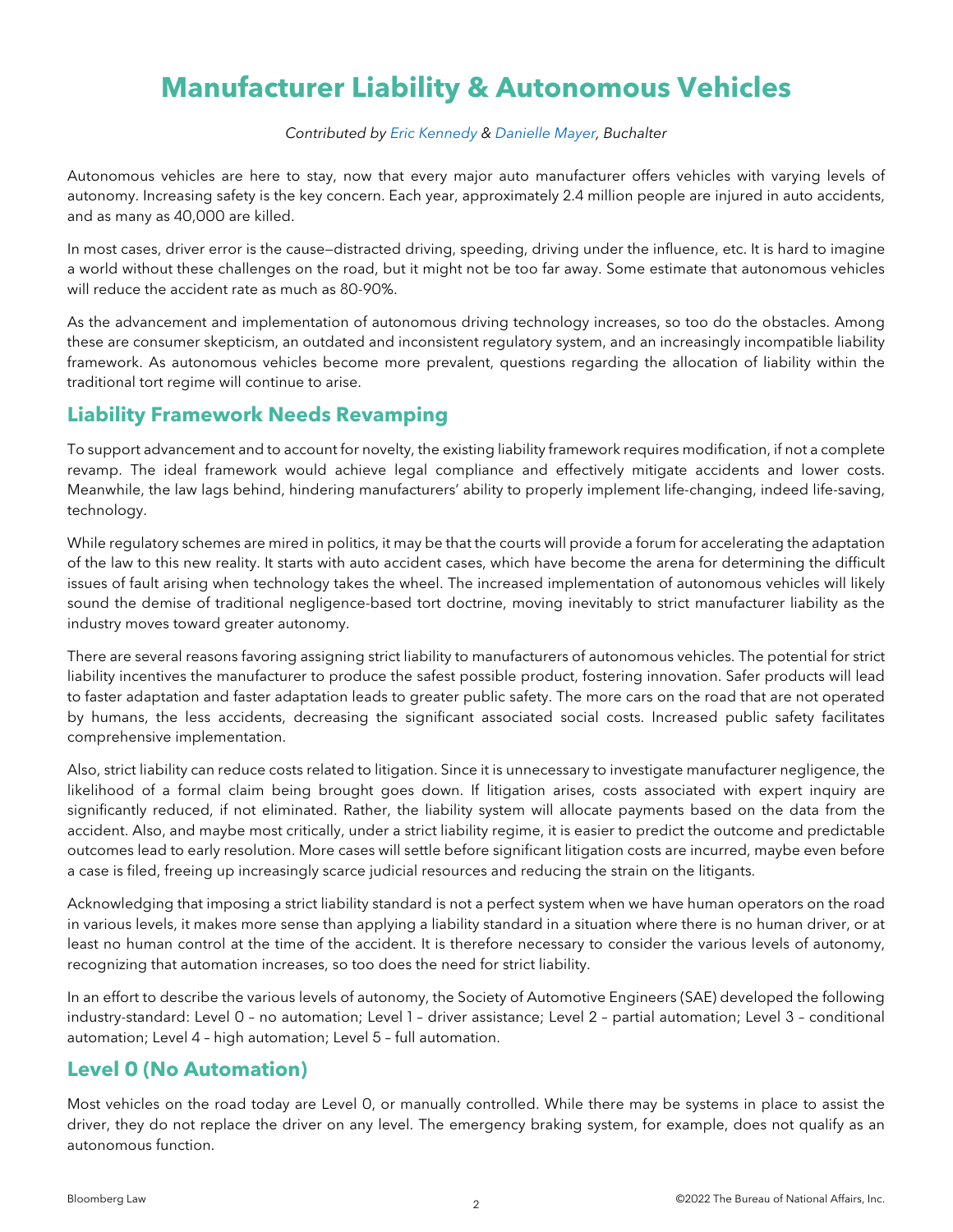### **Manufacturer Liability & Autonomous Vehicles**

#### *Contributed by Eric [Kennedy](https://www.buchalter.com/attorneys/eric-kennedy/#bio) & [Danielle](https://www.buchalter.com/attorneys/danielle-mayer/#bio) Mayer, Buchalter*

Autonomous vehicles are here to stay, now that every major auto manufacturer offers vehicles with varying levels of autonomy. Increasing safety is the key concern. Each year, approximately 2.4 million people are injured in auto accidents, and as many as 40,000 are killed.

In most cases, driver error is the cause—distracted driving, speeding, driving under the influence, etc. It is hard to imagine a world without these challenges on the road, but it might not be too far away. Some estimate that autonomous vehicles will reduce the accident rate as much as 80-90%.

As the advancement and implementation of autonomous driving technology increases, so too do the obstacles. Among these are consumer skepticism, an outdated and inconsistent regulatory system, and an increasingly incompatible liability framework. As autonomous vehicles become more prevalent, questions regarding the allocation of liability within the traditional tort regime will continue to arise.

#### **Liability Framework Needs Revamping**

To support advancement and to account for novelty, the existing liability framework requires modification, if not a complete revamp. The ideal framework would achieve legal compliance and effectively mitigate accidents and lower costs. Meanwhile, the law lags behind, hindering manufacturers' ability to properly implement life-changing, indeed life-saving, technology.

While regulatory schemes are mired in politics, it may be that the courts will provide a forum for accelerating the adaptation of the law to this new reality. It starts with auto accident cases, which have become the arena for determining the difficult issues of fault arising when technology takes the wheel. The increased implementation of autonomous vehicles will likely sound the demise of traditional negligence-based tort doctrine, moving inevitably to strict manufacturer liability as the industry moves toward greater autonomy.

There are several reasons favoring assigning strict liability to manufacturers of autonomous vehicles. The potential for strict liability incentives the manufacturer to produce the safest possible product, fostering innovation. Safer products will lead to faster adaptation and faster adaptation leads to greater public safety. The more cars on the road that are not operated by humans, the less accidents, decreasing the significant associated social costs. Increased public safety facilitates comprehensive implementation.

Also, strict liability can reduce costs related to litigation. Since it is unnecessary to investigate manufacturer negligence, the likelihood of a formal claim being brought goes down. If litigation arises, costs associated with expert inquiry are significantly reduced, if not eliminated. Rather, the liability system will allocate payments based on the data from the accident. Also, and maybe most critically, under a strict liability regime, it is easier to predict the outcome and predictable outcomes lead to early resolution. More cases will settle before significant litigation costs are incurred, maybe even before a case is filed, freeing up increasingly scarce judicial resources and reducing the strain on the litigants.

Acknowledging that imposing a strict liability standard is not a perfect system when we have human operators on the road in various levels, it makes more sense than applying a liability standard in a situation where there is no human driver, or at least no human control at the time of the accident. It is therefore necessary to consider the various levels of autonomy, recognizing that automation increases, so too does the need for strict liability.

In an effort to describe the various levels of autonomy, the Society of Automotive Engineers (SAE) developed the following industry-standard: Level 0 – no automation; Level 1 – driver assistance; Level 2 – partial automation; Level 3 – conditional automation; Level 4 – high automation; Level 5 – full automation.

#### **Level 0 (No Automation)**

Most vehicles on the road today are Level 0, or manually controlled. While there may be systems in place to assist the driver, they do not replace the driver on any level. The emergency braking system, for example, does not qualify as an autonomous function.